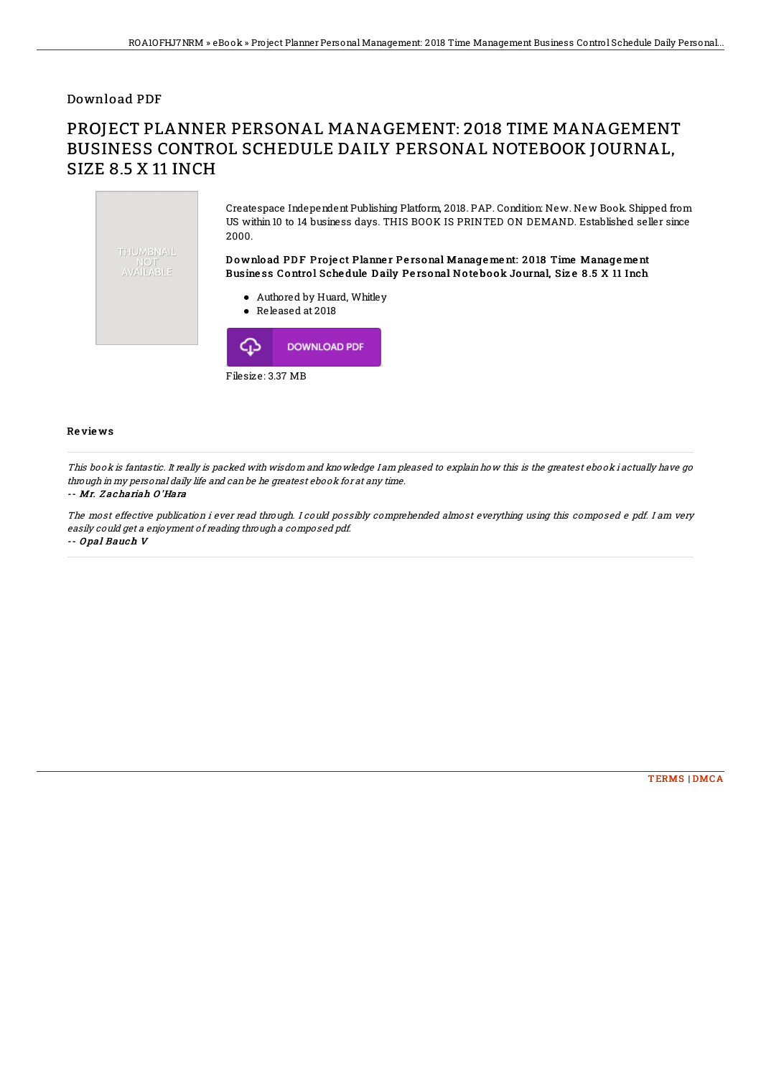### Download PDF

# PROJECT PLANNER PERSONAL MANAGEMENT: 2018 TIME MANAGEMENT BUSINESS CONTROL SCHEDULE DAILY PERSONAL NOTEBOOK JOURNAL, SIZE 8.5 X 11 INCH



#### Re vie ws

This book is fantastic. It really is packed with wisdom and knowledge I am pleased to explain how this is the greatest ebook i actually have go through in my personal daily life and can be he greatest ebook for at any time.

#### -- Mr. Z achariah O 'Hara

The most effective publication i ever read through. I could possibly comprehended almost everything using this composed <sup>e</sup> pdf. I am very easily could get <sup>a</sup> enjoyment of reading through <sup>a</sup> composed pdf. -- O pal Bauch V